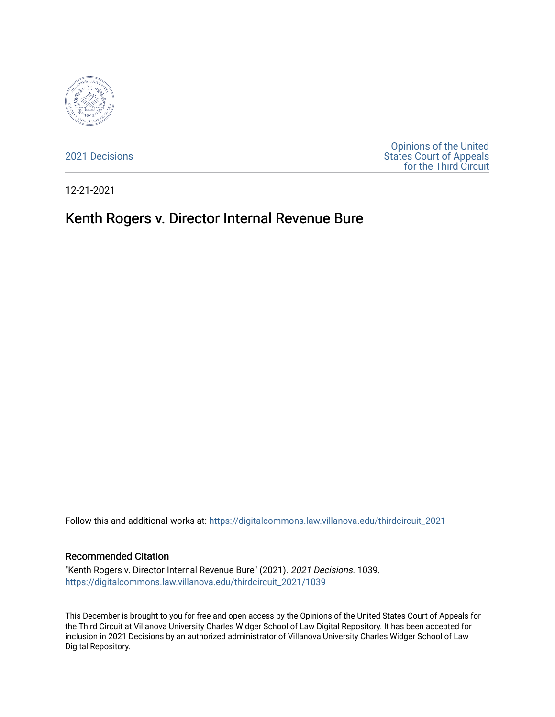

[2021 Decisions](https://digitalcommons.law.villanova.edu/thirdcircuit_2021)

[Opinions of the United](https://digitalcommons.law.villanova.edu/thirdcircuit)  [States Court of Appeals](https://digitalcommons.law.villanova.edu/thirdcircuit)  [for the Third Circuit](https://digitalcommons.law.villanova.edu/thirdcircuit) 

12-21-2021

# Kenth Rogers v. Director Internal Revenue Bure

Follow this and additional works at: [https://digitalcommons.law.villanova.edu/thirdcircuit\\_2021](https://digitalcommons.law.villanova.edu/thirdcircuit_2021?utm_source=digitalcommons.law.villanova.edu%2Fthirdcircuit_2021%2F1039&utm_medium=PDF&utm_campaign=PDFCoverPages) 

#### Recommended Citation

"Kenth Rogers v. Director Internal Revenue Bure" (2021). 2021 Decisions. 1039. [https://digitalcommons.law.villanova.edu/thirdcircuit\\_2021/1039](https://digitalcommons.law.villanova.edu/thirdcircuit_2021/1039?utm_source=digitalcommons.law.villanova.edu%2Fthirdcircuit_2021%2F1039&utm_medium=PDF&utm_campaign=PDFCoverPages) 

This December is brought to you for free and open access by the Opinions of the United States Court of Appeals for the Third Circuit at Villanova University Charles Widger School of Law Digital Repository. It has been accepted for inclusion in 2021 Decisions by an authorized administrator of Villanova University Charles Widger School of Law Digital Repository.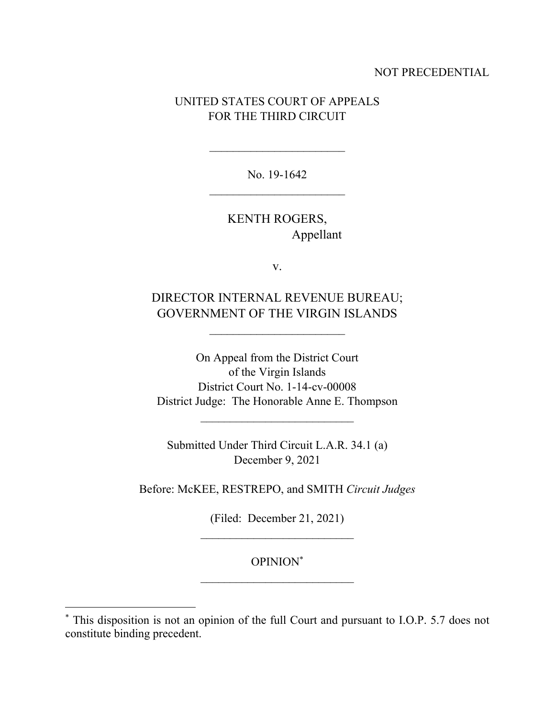### NOT PRECEDENTIAL

## UNITED STATES COURT OF APPEALS FOR THE THIRD CIRCUIT

No. 19-1642  $\overline{\phantom{a}}$  , where  $\overline{\phantom{a}}$ 

> KENTH ROGERS, Appellant

> > v.

DIRECTOR INTERNAL REVENUE BUREAU; GOVERNMENT OF THE VIRGIN ISLANDS

 $\mathcal{L}_\text{max}$ 

On Appeal from the District Court of the Virgin Islands District Court No. 1-14-cv-00008 District Judge: The Honorable Anne E. Thompson

 $\mathcal{L}_\text{max}$ 

Submitted Under Third Circuit L.A.R. 34.1 (a) December 9, 2021

Before: McKEE, RESTREPO, and SMITH *Circuit Judges*

(Filed: December 21, 2021)

OPINION\*

<sup>\*</sup> This disposition is not an opinion of the full Court and pursuant to I.O.P. 5.7 does not constitute binding precedent.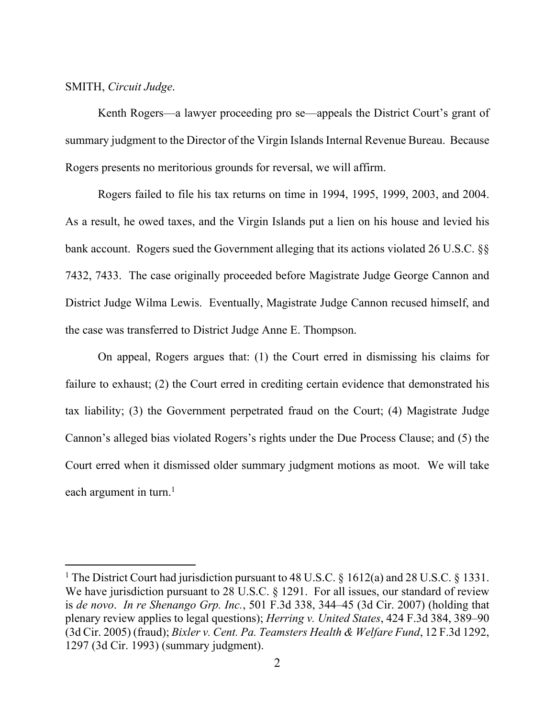#### SMITH, *Circuit Judge*.

 Kenth Rogers—a lawyer proceeding pro se—appeals the District Court's grant of summary judgment to the Director of the Virgin Islands Internal Revenue Bureau. Because Rogers presents no meritorious grounds for reversal, we will affirm.

 Rogers failed to file his tax returns on time in 1994, 1995, 1999, 2003, and 2004. As a result, he owed taxes, and the Virgin Islands put a lien on his house and levied his bank account. Rogers sued the Government alleging that its actions violated 26 U.S.C. §§ 7432, 7433. The case originally proceeded before Magistrate Judge George Cannon and District Judge Wilma Lewis. Eventually, Magistrate Judge Cannon recused himself, and the case was transferred to District Judge Anne E. Thompson.

 On appeal, Rogers argues that: (1) the Court erred in dismissing his claims for failure to exhaust; (2) the Court erred in crediting certain evidence that demonstrated his tax liability; (3) the Government perpetrated fraud on the Court; (4) Magistrate Judge Cannon's alleged bias violated Rogers's rights under the Due Process Clause; and (5) the Court erred when it dismissed older summary judgment motions as moot. We will take each argument in turn.<sup>1</sup>

<sup>&</sup>lt;sup>1</sup> The District Court had jurisdiction pursuant to 48 U.S.C. § 1612(a) and 28 U.S.C. § 1331. We have jurisdiction pursuant to 28 U.S.C. § 1291. For all issues, our standard of review is *de novo*. *In re Shenango Grp. Inc.*, 501 F.3d 338, 344–45 (3d Cir. 2007) (holding that plenary review applies to legal questions); *Herring v. United States*, 424 F.3d 384, 389–90 (3d Cir. 2005) (fraud); *Bixler v. Cent. Pa. Teamsters Health & Welfare Fund*, 12 F.3d 1292, 1297 (3d Cir. 1993) (summary judgment).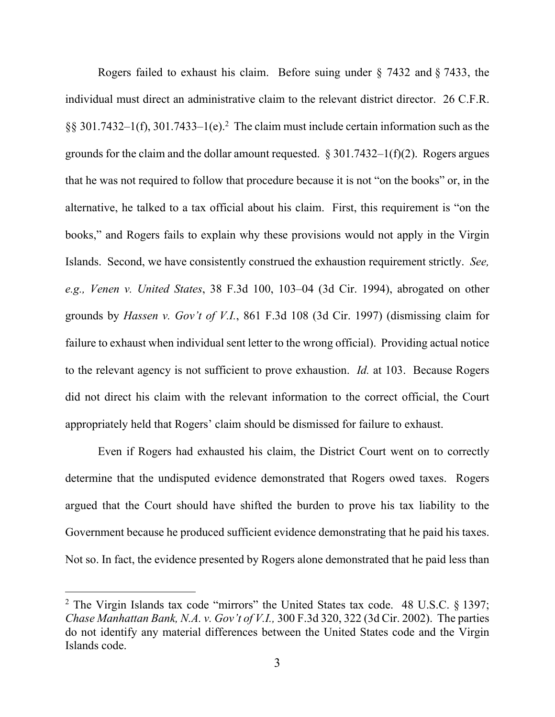Rogers failed to exhaust his claim. Before suing under § 7432 and § 7433, the individual must direct an administrative claim to the relevant district director. 26 C.F.R.  $\S$ § 301.7432–1(f), 301.7433–1(e).<sup>2</sup> The claim must include certain information such as the grounds for the claim and the dollar amount requested.  $\S 301.7432-1(f)(2)$ . Rogers argues that he was not required to follow that procedure because it is not "on the books" or, in the alternative, he talked to a tax official about his claim. First, this requirement is "on the books," and Rogers fails to explain why these provisions would not apply in the Virgin Islands. Second, we have consistently construed the exhaustion requirement strictly. *See, e.g., Venen v. United States*, 38 F.3d 100, 103–04 (3d Cir. 1994), abrogated on other grounds by *Hassen v. Gov't of V.I.*, 861 F.3d 108 (3d Cir. 1997) (dismissing claim for failure to exhaust when individual sent letter to the wrong official). Providing actual notice to the relevant agency is not sufficient to prove exhaustion. *Id.* at 103. Because Rogers did not direct his claim with the relevant information to the correct official, the Court appropriately held that Rogers' claim should be dismissed for failure to exhaust.

 Even if Rogers had exhausted his claim, the District Court went on to correctly determine that the undisputed evidence demonstrated that Rogers owed taxes. Rogers argued that the Court should have shifted the burden to prove his tax liability to the Government because he produced sufficient evidence demonstrating that he paid his taxes. Not so. In fact, the evidence presented by Rogers alone demonstrated that he paid less than

<sup>&</sup>lt;sup>2</sup> The Virgin Islands tax code "mirrors" the United States tax code. 48 U.S.C.  $\S$  1397; *Chase Manhattan Bank, N.A. v. Gov't of V.I.,* 300 F.3d 320, 322 (3d Cir. 2002). The parties do not identify any material differences between the United States code and the Virgin Islands code.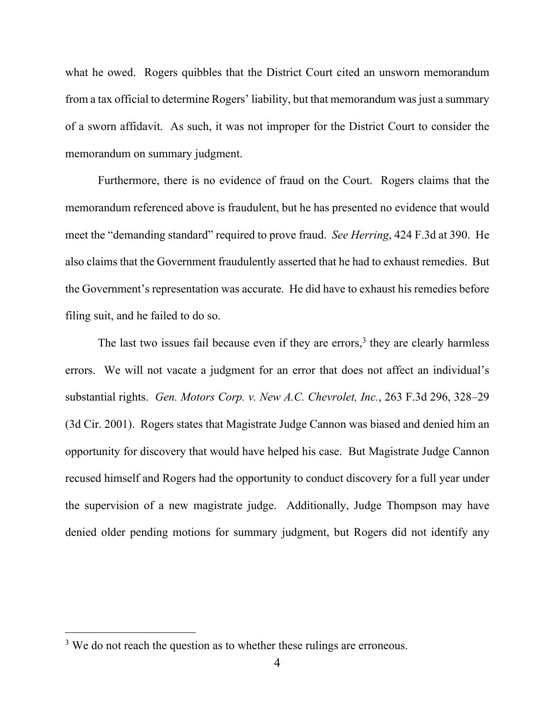what he owed. Rogers quibbles that the District Court cited an unsworn memorandum from a tax official to determine Rogers' liability, but that memorandum was just a summary of a sworn affidavit. As such, it was not improper for the District Court to consider the memorandum on summary judgment.

 Furthermore, there is no evidence of fraud on the Court. Rogers claims that the memorandum referenced above is fraudulent, but he has presented no evidence that would meet the "demanding standard" required to prove fraud. *See Herring*, 424 F.3d at 390. He also claims that the Government fraudulently asserted that he had to exhaust remedies. But the Government's representation was accurate. He did have to exhaust his remedies before filing suit, and he failed to do so.

The last two issues fail because even if they are errors,<sup>3</sup> they are clearly harmless errors. We will not vacate a judgment for an error that does not affect an individual's substantial rights. *Gen. Motors Corp. v. New A.C. Chevrolet, Inc.*, 263 F.3d 296, 328–29 (3d Cir. 2001). Rogers states that Magistrate Judge Cannon was biased and denied him an opportunity for discovery that would have helped his case. But Magistrate Judge Cannon recused himself and Rogers had the opportunity to conduct discovery for a full year under the supervision of a new magistrate judge. Additionally, Judge Thompson may have denied older pending motions for summary judgment, but Rogers did not identify any

 $3$  We do not reach the question as to whether these rulings are erroneous.